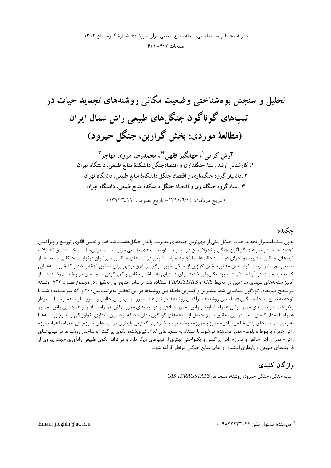## حكىدە

بدون شک استمرار تجدید حیات جنگل یکی از مهمترین جنبههای مدیریت پایدار جنگل۵ماست. شناخت و تعیین الگوی توزیـع و پـراکنش تجدید حیات در تیپهای گوناگون جنگل و تحولات آن در مدیریت اکوسیستمهای طبیعی مؤثر است. بنابراین، با شـناخت دقیـق تحـولات تیپهای جنگلی، مدیریت و اجرای درست دخالتها، با تجدید حیات طبیعی در تیپهای جنگلـی مـیتـوان درنهایـت جنگلـی بـا سـاختار طبیعی موردنظر تربیت کرد. بدین منظور، بخش گرازبن از جنگل خیرود واقع در شرق نوشهر برای تحقیق انتخاب شد و کلیهٔ روشـنههـایی که تجدید حیات در آنها مستقر شده بود مکان یابی شدند. برای دستیابی به ساختار مکانی و کمیکردن سنجههای مربوط بـه روشـنههـا، از آنالیز سنجههای سیمای سرزمین در محیط GIS و FRAGSTATSاستفاده شد. براساس نتایج این تحقیق، در مجموع تعـداد ۷۲۳ روشـنه در سطح تیپهای گوناگون شناسایی شد. بیشترین و کمترین فاصله بین روشنهها در این تحقیق بهترتیب بین۲۶۰ و ۵۴ متر مشاهده شد. با توجه به نتایج سنجهٔ میانگین فاصله بین روشنهها، پراکنش روشنهها در تیپهای ممرز- راش، راش خالص و ممرز- بلوط همـراه بـا شـیردار یکنواخت، در تیپهای ممرز- راش همراه با بلوط و راش- ممرز تصادفی و در تیپهای ممرز- راش همـراه بـا افـرا و همچنـین راش- ممـرز همراه با نمدار کپهای است. در این تحقیق نتایج حاصل از سنجههای گوناگون نشان داد که بیشترین پایداری اکولوژیکی و تنـوع روشـنههـا بهترتیب در تیپهای راش خالص، راش- ممرز و ممرز- بلوط همراه با شیردار و کمترین پایداری در تیپهای ممرز-راش همراه با افرا، ممرز-راش همراه با بلوط و بلوط- ممرز مشاهده می شود. با استناد به سنجههای اندازهگیریشده، الگوی پراکنش و ساختار روشنهها در تیـپهـای راش- ممرز، راش خالص و ممرز- راش پراکنش و یکنواختی بهتری از تیپهای دیگر دارد و میتواند الگوی طبیعی زادآوری جهت پیروی از فرآیندهای طبیعی و پایداری استمرار و بقای منابع جنگلی درنظر گرفته شود.

# واژگان كليدي

تيپ جنگل، جنگل خيرود، روشنه، سنجهها، GIS ، FRAGSTATS.

\* نويسندهٔ مسئول تلفن:۴۴۰۴۲۲۲۳۰۴۴ ۰۰

Email: jfeghhi@ut.ac.ir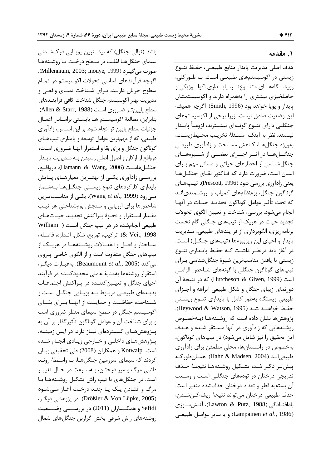#### **= 1.**

باشد (توالی جنگل) که بیشـترین پویـایی درکشـدنی سیمای جنگلهـا اغلـب در سـطح درخـت یـا روشـنههـا صورت مي گيــرد (Millennium, 2003; Inouye, 1999). اگرچه فرآیندهای اساسی تحولات اکوسیستم در تمـام سطوح جريان دارنـد، بـراي شـناخت دنيـاي واقعـي و مديريت بهتر اكوسيستم جنگل شناخت كافي فرآينــدهاى سطح پايينتر ضروري است (Allen & Starr, 1988). بنابراين، مطالعة اكوسيسـتم هـا بايسـتي براسـاس اعمـال جزئیات سطح پایین تر انجام شود. بر این اســاس، زادآوری طبیعی، که از مهمترین عوامل توسعه و پایداری تیپ هـای گوناگون جنگل و برای بقا و استمرار آنهـا ضـروری اسـت، درواقع از اركان و اصول اصلي رسيدن بــه مــديريت پايــدار جنگــل هاســت (Hamann & Wang, 2006). درواقــع، بررســي زادآوري يكــي از بهتــرين معيارهــاي پــايش پایداری کارکردهای تنوع زیستی جنگــلهــا بــهشــمار م<sub>ی(و</sub>د (Wang *et al*., 1999). یکی از مناسبترین شاخصها برای ارزیابی و سنجش بومشناختی هر تیپ مقـدار اسـتقرار و نحـوهٔ پـراکنش تجدیـد حیـاتهـای طبیعی انجامشده در هر تیپ جنگل اسـت ( William & Veit, 1998). تركيب، توزيع، شكل، انـدازه، فاصـله، ســاختار و فعــل و انفعــالات روشــنههــا در هريــك از تیپهای جنگل متفاوت است و از الگوی خاصی پیروی میکند (Beaumount *et al*., 2005). به عبارت دیگر، استقرار روشنهها بهمثابهٔ عاملی محدودکننده در فرآیند احیای جنگل و تعیـین کننـده در پـراکنش اجتماعـات پدیـدهای طبیعـی مربـوط بـه پویـایی جنگـل اسـت و شــناخت، حفاظــت و حمايــت از آنهــا بــراي بقــاي اکوسیستم جنگل در سطح سیمای منظر ضروری است و برای شناخت آن و عوامل گوناگون تأثیرگذار بر آن به پــژوهشهــای گســتردهای نیــاز دارد. در ایــن زمینــه، پـژوهشهـاي داخلـي و خــارجي زيــادي انجــام شــده است. Kotwalp و همكاران (2008) طي تحقيقي بيـان کردند که سیمای سرزمین جنگلهـا، بـهواسـطهٔ رونـد دائمی مرگ و میر درختان، بـهسـرعت در حـال تغییـر است. در جنگلهای با تیپ راش تشکیل روشـنههـا بـا مرگ و افتـادن يـک يـا چنــد درخـت آغـاز مــىشـود (Drößler & Von Lüpke, 2005). در پژوهشي ديگـر، Sefidi و همكــــاران (2011) در بررســـــى وضــــعيت روشنههای راش شرقی بخش گرازبن جنگلهای شمال

هدف اصلي مديريت پايدار منابع طبيعـي، حفـظ تنــوع زیستی در اکوسیستمهای طبیعـی اسـت. بـهطـورکلی، رويشـــگاههـــاي متنــــوع تــــر، پايــــداري اكولـــوژيكي و حاصلخیزی بیشتری را بههمراه دارند و اکوسیستمشان پايدار و پويا خواهد بود (Smith, 1996). اگرچه هميشه ین وضعیت صادق نیست، زیرا برخی از اکوسیستمهای  $\overline{\phantom{a}}$ جنگلــي داراي تنــوع گونــهاي بيشــترند، لزومــأ پايــدار نيستند. نظر به اينكـه مسـئلهٔ تخريـب محـيطزيسـت، بهويژه جنگلهـا، كـاهش مسـاحت و زادآوري طبيعـي جنگــلهــا در اثــر اجــراي بعضــي از شــيوههــاي جنگل شناسی از اخطارهای حیاتی و مسائل مهم بـرای انسان است، ضرورت دارد که فـاکتور بقـای جنگـلهـا يعني زادآوري بررسي شود (Prescott, 1996). تيپهاي گوناگون جنگل، بومنظامهای کمیاب و ارزشـمندیانـد كه تحت تأثير عوامل گوناگون تجديـد حيــات در آنهــا انجام ميشود. بررسي، شناخت و تعيين الگوي تحولات تجدید حیات در هریک از تیپهای جنگلی گام نخست برنامهريزي، الگوبرداري از فرآيندهاي طبيعي، مـديريت پایدار و احیای این ریزبیومها (تیپهای جنگـل) اسـت. در آغاز باید درنظـر داشـت کـه حفـظ پایـداری تنــوع زیستی با یافتن مناسبترین شیوهٔ جنگلشناسی بـرای تیپهای گوناگون جنگلی با گونههای شـاخص الزامـی است (Hutcheson & Given, 1999) كه در نتيجهٔ آن دورنمای زیبای جنگل و شکل طبیعی آبراهه و اجـزای طبیعی زیستگاه بهطور کامل با پایداری تنــوع زیسـتی حفـظ خواهنـد شـد (Heywood & Watson, 1995). پژوهشها نشان داده است که روشـنههـا (بـهخصـوص روشنههایی که زادآوری در آنها مسـتقر شـده و هـدف ین تحقیق را نیز شامل میشود) در تیپهای گوناگون،  $\overline{\phantom{a}}$ بهخصوص در راشستانها، محلی مطمئن برای زادآوری طبيعي|نـد (Hahn & Madsen, 2004). همـانطوركـه پيش تـر ذكـر شـد، تشـكيل روشـنههـا نتيجـهٔ حـذف تدریجی درختان در تودههای جنگلـی اسـت و وسـعت آن بستهبه قطر و تعداد درختان حذفشده متغير است. حذف طبيعي درختان مي تواند نتيجهٔ ريشه كـنشـدن، بادافتــادگی (Lawton & Putz, 1988)، آتــشســوزی (Lampainen *et al.*, 1986) و يا ساير عوامـل طبيعـي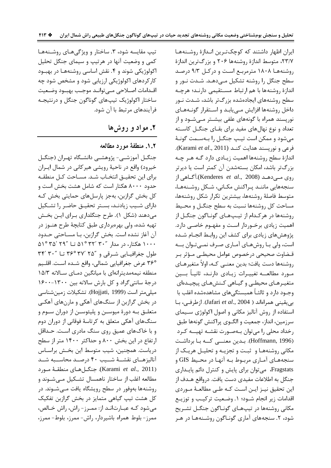ایران اظهار داشتند که کوچکترین انـدازهٔ روشـنههـا ۲۳/۷، متوسط اندازهٔ روشنهها ۲۰۶ و بزرگترین اندازهٔ روشنهها ۱۸۰۸ مترمربع است و در کل ۹/۳ درصد سطح جنگل را روشنه تشکیل مے دهـد. شـدت نـور و اندازهٔ روشنهها با هم ارتباط مستقیمی دارنـد؛ هرچـه سطح روشنههای ایجادهشده بزرگتر باشد، شـدت نـور داخل روشنهها افزايش مے يابـد و اسـتقرار گونـههـای نوریسند همراه با گونههای علفی بیشتر مے شـود و از تعداد و نوع نهالهای مفید برای بقـای جنگـل کاسـته مي شود و ممكن است تيپ جنگــل را بــهســمت گونــهٔ فرعي و نوريسند هدايت كنـد (Karami et al., 2011). اندازهٔ سطح روشنهها اهمیت زیـادی دارد گـه هـر چـه بزرگتر باشد، امکان بستهشدن آن کمتر است یا دیرتر روی مے دھـد (Kenderes *et al.*, 2008).آگـاهي از سنجەهایی ماننـد پـراکنش مکـانی، شـکل روشـنههـا، متوسط فاصلهٔ روشنهها، بیشترین تکرار شکل روشنهها، مساحت کل روشنهها نسبت به سطح جنگــل و محـيط روشنهها در هركـدام از تيـپـهـاي گونـاگون جنگـل از اهمیت زیادی برخوردار است و مفهـوم خاصـی دارد. یژوهش های زیادی برای کشف این روابط انجـام شـده است، ولي بـا روشهـاي آمـاري صـرف نمـيتـوان بــه قـضاوت صحيحى درخصوص عوامل محيطـى مـؤثر بـر روشنهها دست یافت؛ بدین معنـی کـه، اولاً متغیرهـای مـورد مطالعــه تغییـرات زیـادی دارنـد، ثانیــاً بـــین متغیـرهـای محیطـی و گیـاهی کـنشهـای پیچیـدهای وجـود دارد و ثالثـاً همبستگیهای مشاهدهشده اغلب با بى يقينى همراهاند ( Jafari et al., 2004). ازطرفى، با استفاده از روش آنالیز مکانی و اصول اکولوژی سـیمای سرزمین، انداز، جمعیت و الگــوی پراکنش گونهها طبق رخداد محلی را می توان بـهصـورت نقشـه تهیــه کـرد (Hoffmann, 1996). بـدین معنـــی کــه بـا برداشـت مکانی روشنهها و ثبت و تجزیـه و تحلیـل هریـک از سنجههـای آمـاری مربـوط بـه آنهـا در محـيط GIS و Fragstats، میتوان برای پایش و کنترل دائم پایداری جنگل به اطلاعات مفیدی دست یافت. درواقع هـدف از این تحقیق نیـز ایـن اسـت کـه طـی مطالعـهٔ مـوردی اقدامات زیر انجام شـود؛ ۱. وضـعیت ترکیـب و توزیـع مکانی روشنهها در تیپهـای گونـاگون جنگـل تشـریح شود، ۲. سنجههای آماری گونـاگون روشـنههـا در هـر

تيپ مقايسه شود، ٣. ساختار و ويژگی های روشنه ها کمی و وضعیت آنها در هرتیپ و سیمای جنگل تحلیل اکولوژیکی شوند و ۴. نقش اساسی روشنهها در بهبود کار کردهای اکولوژیکی ارزیابی شود و مشخص شود چه اقـدامات اصـلاحي مـي توانـد موجـب بهبـود وضـعيت ساختار اکولوژیک تیپهای گوناگون جنگل و درنتیجـه فرآیندهای مرتبط با آن شود.

# ۲. مواد و روش ها

## ۰.۲. منطقهٔ مورد مطالعه

جنگــل آموزشــى- پژوهشــى دانشــگاه تهــران (جنگــل خيرود) واقع در ناحيهٔ رويشي هيركاني در شمال ايـران براي اين تحقيــق انتخــاب شــد. مســاحت كــل منطقــه حدود ۸۰۰۰ هکتار است که شامل هشت بخش است و کل بخش گرازبن، بهجز پارسلهای حمایتی بخش کـه دارای شـیب زیادنـد، بسـتر تحقیـق حاضـر را تشـكیل می،دهند (شکل ۱). طرح جنگلداری بـرای ایـن بخـش تهیه شده، ولی بهرهبرداری طبق کتابچهٔ طرح هنــوز در آن آغاز نشده است. بخش گرازبن، بـا مسـاحتی حـدود  $\Delta$ ۱۰۰۰ هکتار، در مدار ۳۰٬ ۳۰٬ ۵۱° تا ۲۹٬ ۳۵٬ ۵۱° طول جغرافیایی شرقی و "۳۷' ۳۶° ۳۳ تا "۳۴' ۳۰ ٣۶° عرض جغرافيايي شمالي، واقع شـده اسـت. اقلـيم منطقه نیمهمدیترانهای با میانگین دمای سالانه ۱۵/۳ درجهٔ سانتی گراد و کل بارش سالانه بین ۱۳۰۰-۱۶۰۰ ميلي متر است (Hojjati, 1999). تشكيلات زمين شناسي در بخش گرازبن از سنگهای آهکی و مارنهای آهکی متعلــق بــه دورهٔ میوســن و پلیئوســن از دوران ســوم و سنگهای آهکی متعلق به کرتاسهٔ فوقانی از دوران دوم و با خاکهای عمیق روی سنگ مادری است. حـداقل ارتفاع در این بخش ۸۰۰ و حداکثر ۱۴۰۰ متر از سطح درياست. همچنين، شيب متوسط اين بخـش براسـاس آنالیزهـای نقشــهٔ شــیب ۴۰ درصـد محاســبه شــد (Karami et al., 2011). جنگــل هــای منطقــهٔ مــورد مطالعه اغلب از ساختار ناهمسال تشكيل مـي شـوند و روشنهها بهوفور در سطح رویشگاه یافت مـی شـوند. در کل هشت تیپ گیاهی متمایز در بخش گرازبن تفکیک می شود کـه عبـارتانـد از: ممـرز- راش، راش خـالص، ممرز-بلوط همراه باشيردار، راش-ممرز، بلوط-ممرز،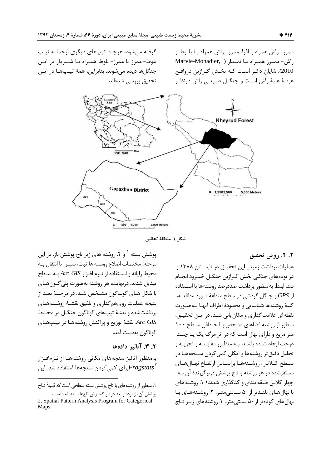ممرز- راش همراه با افرا، ممرز- راش همراه بــا بلــوط و راش-ممرز همراه با نمدار ( Marvie-Mohadjer, 2010). شایان ذکر است کـه بخـش گـرازبن درواقـع عرصهٔ غلبهٔ راش است و جنگــل طبیعــی راش درنظـر

گرفته میشود، هرچند تیپهای دیگری ازجملـه تیـپ بلوط- ممرز یا ممرز- بلوط همـراه بـا شـیردار در ایـن جنگلها ديده مي شوند. بنابراين، همهٔ تيپها در اين تحقیق بررسی شدهاند.



شكل ١. منطقهٔ تحقيق

### ٢. ٢. روش تحقيق

عملیات برداشت زمینی این تحقیــق در تابســتان ۱۳۸۸ و در توده های جنگلی بخش گـرازبن جنگـل خیـرود انجـام شد. ابتدا، به منظور برداشت صددرصد روشنهها با استفاده از GPS و جنگل گردشی در سطح منطقهٔ مـورد مطالعـه، كلية روشنهها شناسايي و محدودة اطراف آنهـا بـهصـورت نقطه|ی علامت گذاری و مکان یابی شـد. در ایـن تحقیـق، منظور از روشنه فضاهای مشخص بـا حـداقل سـطح ١٠٠ متر مربع و دارای نهال است که در اثر مرگ یک یـا چنــد درخت ایجاد شـده باشـد. بـه منظـور مقایسـه و تجزیـه و تحلیل دقیق تر روشنهها و امکان کمی کردن سـنجههـا در سطح كبلاس، روشينههيا براسياس ارتفياع نهيال هياي مستقرشده در هر روشنه و تاج پوشش دربرگیرندهٔ آن بـه چهار کلاس طبقه بندی و کدگذاری شدند؛ ۱. روشنه های با نهال هـاي بلنـدتر از ۵۰ سـانتي متـر، ۲. روشـنههـاي بـا نهال های کوتاهتر از ۵۰ سانتی متر، ۳. روشنه های زیـر تـاج

پوشش بسته ` و ۴. روشنه های زیر تاج پوشش باز. در این مرحله، مختصات اضلاع روشنه ها ثبت، سيس با انتقال بـه محیط رایانه و استفاده از نـرم افـزار  $Arc\ GIS$ بـه سـطح تبدیل شدند. درنهایت، هر روشنه بهصورت پلی گـون هـای با شکل هـاي گونـاگون مشـخص شـد. در مرحلـهٔ بعـد از نتیجه عملیات روی هم گذاری و تلفیق نقشـهٔ روشـنههـای برداشت شده و نقشهٔ تیپهای گوناگون جنگـل در محـیط نقشهٔ توزیع و پراکنش روشنههـا در تیـپهـای Arc GIS گوناگون بەدست آمد.

## ۲. ۳. آنالیز دادهها

بهمنظور آناليز سنجههاى مكانى روشنههـا از نـرمافـزار برای کمی کردن سنجهها استفاده شد. این $Fragstats^{\intercal}$ 

۱. منظور از روشنههای با تاج پوشش بسته سطحی است که قـبلاً تـاج پوشش آن باز بوده و بعد در اثر گسترش تاجها بسته شده است.

<sup>2.</sup> Spatial Pattern Analysis Program for Categorical Maps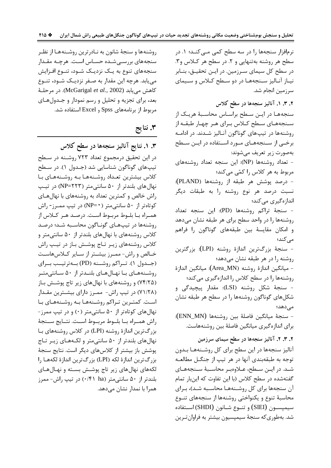نرمافزار سنجهها را در سه سطح کمی مـی کنـد؛ ۱. در سطح هر روشنه به تنهایی و ۲. در سطح هر کـلاس و۳. در سطح کل سیمای سـرزمین. در ایـن تحقیـق، بنـابر نیاز آنالیز سنجهها در دو سطح کلاس و سیمای سرزمین انجام شد.

۲. ۳. ۱. آنالیز سنجهها در سطح کلاس

سنجههـا در ايـن سـطح براسـاس محاسـبهٔ هريـک از سـنجههـاي سـطح كـلاس بـراي هـر چهـار طبقــه از روشنهها در تیپهای گوناگون آنـالیز شـدند. در ادامـه برخــی از ســنجههــای مــورد اســتفاده در ايــن سـطح بەصورت زیر تعریف مے شوند: - تعداد روشنهها (NP): این سنجه تعداد روشنههای مربوط به هر کلاس را کمّی میکند؛ - درصد پوشش هر طبقه از روشنهها (PLAND):

نسبت درصد هر نوع روشنه را به طبقات دیگر اندازەگىرى مىكند؛

- سنجهٔ تراکم روشنهها (PD): این سنجه تعداد روشنهها را در واحد سطح برای هر طبقه نشان میدهد و امکان مقایسهٔ بین طبقههای گوناگون را فراهم مے کند؛

- سنجهٔ بزرگترین اندازهٔ روشنه (LPI): بزرگترین روشنه را در هر طبقه نشان میدهد؛

- ميانگين اندازهٔ روشنه (Area\_MN): ميانگين اندازهٔ روشنهها را در سطح کلاس را اندازهگیری می کند؛ - سنجهٔ شکل روشنه (LSI): مقدار پیچیدگی و

شکلهای گوناگون روشنهها را در سطح هر طبقه نشان مے دھد؛

- سنجة ميانكين فاصلة بين روشنهها (ENN\_MN): برای اندازهگیری میانگین فاصلهٔ بین روشنههاست.

۲. ۳. ۲. آنالیز سنجهها در سطح سیمای سرزمین

آنالیز سنجهها در این سطح برای کل روشـنههـا بـدون توجه به طبقهبندی آنها در هر تیپ از جنگـل مطالعـه شـد. در ايــن سـطح، عــلاوەبــر محاســبهٔ ســنجههــای گفتهشده در سطح کلاس (با این تفاوت که اینبار تمام آن سنجهها برای کل روشـنههـا محاسـبه شـد)، بـرای محاسبهٔ تنوع و یکنواختی روشنهها از سنجههای تنـوع سيميســون (SIEI) و تنــوع شــانون (SHDI) اســتفاده شد. بەطورى كە سنجۀ سيميسيون بيشتر بە فراوان تـرين

روشنهها و سنجهٔ شانون به نـادرترین روشـنههـا از نظـر سنجههای بررسـی شـده حسـاس اسـت. هرچـه مقـدار سنجههای تنوع به یـک نزدیـک شـود، تنـوع افـزایش می یابد. هرچه این مقدار به صـفر نزدیـک شـود، تنـوع كاهش مي يابد (McGarigal et al., 2002). در مرحلـهٔ بعد، برای تجزیه و تحلیل و رسم نمودار و جـدولهـای مربوط از برنامههای Spss و Excel استفاده شد.

۳. نتايج

۰. ۱. نتایج آنالیز سنجهها در سطح کلاس در این تحقیق درمجموع تعداد ۷۲۳ روشـنه در سـطح تيپهاي گوناگون شناسايي شد (جـدول ۱). در سـطح كلاس بیشترین تعـداد روشـنههـا بـه روشـنههـای بـا نهال های بلندتر از ۵۰ سانتی متر (۲۲۳=NP) در تیپ راش خالص و کمترین تعداد به روشنههای با نهال های کوتاهتر از ۵۰ سانتی متر (NP=۰) در تیپ ممـرز- راش همـراه بـا بلــوط مربــوط اســت. درصــد هــر كــلاس از روشنهها در تیپهای گوناگون محاسبه شد؛ درصد کلاس روشنههای با نهالهای بلندتر از ۵۰ سانتی متر و كلاس روشنههای زیـر تـاج پوشـش بـاز در تیـپ راش خیالص و راش- ممیرز بیشتر از سیایر کیلاس هاست (جهول ۱). تـراكم روشـنه (PD) بـهترتيـب بـراي روشـنههـای بـا نهـالهـای بلنـدتر از ۵۰ سـانتیمتـر (۷۴/۲۵) و روشنههای با نهالهای زیر تاج پوشش باز (۷۱/۲۸) در تیپ راش- ممـرز دارای بیشـترین مقـدار است. کمترین تراکم روشنهها به روشنههای با نهالهای کوتاهتر از ۵۰ سانتیمتر (۰) و در تیپ ممرز-راش همــراه بــا بلــوط مربــوط اســت. نتــايج ســنجهٔ بزرگترین اندازهٔ روشنه (LPI) در کلاس روشنههای با نهالهای بلندتر از ۵۰ سانتی متر و لکـههـای زیـر تـاج یوشش باز بیشتر از کلاسهای دیگر است. نتایج سنجهٔ بزرگترين اندازهٔ لکه (LPI) بزرگترين اندازهٔ لکههـا را لکههای نهالهای زیر تاج پوشش بسته و نهـالهـای بلندتر از ۵۰ سانتی متر (۰/۴۱ ha) در تیپ راش- ممرز همرا با نمدار نشان مے دهد.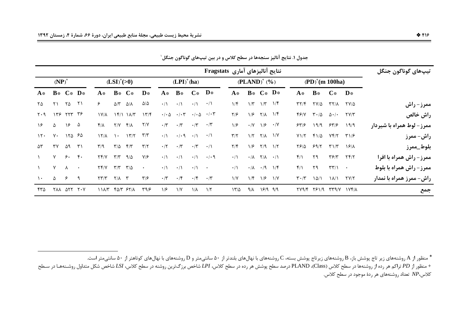| نتايج آناليزهاي آماري Fragstats |                       |                                        |                  |                                |                                      |                                               |                         |                 |                                             |                            |                            | تيپھاي گوناگون جنگل     |             |                                                 |                      |                               |                             |                                |                                   |                                  |
|---------------------------------|-----------------------|----------------------------------------|------------------|--------------------------------|--------------------------------------|-----------------------------------------------|-------------------------|-----------------|---------------------------------------------|----------------------------|----------------------------|-------------------------|-------------|-------------------------------------------------|----------------------|-------------------------------|-----------------------------|--------------------------------|-----------------------------------|----------------------------------|
| $(NP)^+$                        |                       |                                        | $(LSI)^{+} (>0)$ |                                |                                      |                                               | $(LPI)^+(ha)$           |                 |                                             |                            | $(PLAND)^+(%)$             |                         |             | $(PD)^+(m 100ha)$                               |                      |                               |                             |                                |                                   |                                  |
| $A*$                            |                       | $B*$ $C*$ $D*$                         |                  | A*                             | $\mathbf{B} *$                       | $C*$                                          | $\mathbf{D}^*$          | A*              | $B*$                                        | $\mathbf{C}^*$             | $\mathbf{D}^*$             | $A*$                    |             | $B* C* D*$                                      |                      | $A*$                          | $B*$                        | $C^*$                          | $\mathbf{D}^*$                    |                                  |
| ۲۵                              | $\mathsf{r}\setminus$ | ۲۵                                     | $\Upsilon$       | ۶                              | $\Delta/\Upsilon$                    | $\Delta/\lambda$                              | $\Delta/\Delta$         | $\cdot/\Lambda$ | $\cdot/$                                    | $\cdot/$                   | $\cdot/\Lambda$            | $1/\mathfrak{F}$        |             | $1/\mathcal{r}$ $1/\mathcal{r}$                 | $1/\mathfrak{F}$     | $\mathbf{y}(\mathbf{y})$      | 77/4                        | $\uparrow \uparrow / \uparrow$ | $\frac{1}{2}$                     | ممرز- راش                        |
| $\mathbf{y} \cdot \mathbf{y}$   |                       | $175$ $777$ $75$                       |                  | <b>IVIA</b>                    |                                      | Yf/Y YAYT                                     | 17/1                    |                 | $\cdot/\cdot \Delta$ $\cdot/\cdot \Upsilon$ | $\cdot$ / $\cdot$ $\Delta$ | $\cdot/\cdot$ $\mathsf{r}$ | $\frac{1}{2}$           | 1/5         | $\mathsf{Y}/\mathsf{Y}$                         | $1/\mathfrak{F}$     | ۴۶۱۷                          | $\mathsf{r}\cdot\mathsf{r}$ | $\Delta \cdot / \cdot$         | $\Upsilon V/\Upsilon$             | راش خالص                         |
| ۱۶                              | Δ                     | ۱۶                                     | $\Delta$         | $f/\lambda$                    | Y/Y                                  | $f/\lambda$                                   | Y/Y                     | $\cdot$ /٣      | $\cdot$ /٣                                  | $\cdot$ /٣                 | $\cdot$ /٣                 | 1/5                     |             | $\cdot$ $\sqrt{2}$ $\sqrt{2}$                   | $\cdot$ /Y           | ۶۳۱۶                          | 19/9                        | ۶۳۱۶                           | 19/9                              | <b>ممرز- لوط همراه با شیردار</b> |
| $\mathcal{N}$                   | $V \cdot$             | ۶۵ م                                   |                  | $\lambda$                      | $\lambda$ .                          | $\frac{17}{7}$                                | $\mathbf{r}/\mathbf{r}$ | $\cdot/\Lambda$ | $\cdot$ / $\cdot$ 9 $\cdot$ /               |                            | $\cdot/\Lambda$            | $\mathbf{r}/\mathbf{r}$ |             | $1/T$ $7/\lambda$                               | $\frac{1}{\sqrt{2}}$ | $Y\setminus Y$                | ۴۱/۵                        | $Yf/\tau$                      | $\frac{1}{2}$                     | راش- ممرز                        |
| ۵۳                              | ۳۷                    | ۵۹                                     | $\uparrow$       | $\mathbf{r}/\mathbf{q}$        | $\mathsf{r}/\mathsf{a}$              | $\mathbf{f}/\mathbf{r}$                       | $\mathbf{r}/\mathbf{r}$ | $\cdot$ /٢      | $\cdot$ /٣                                  | $\cdot$ /٣                 | $\cdot/$                   | $\mathsf{Y}/\mathsf{F}$ |             | $1/5$ $7/9$ $1/7$                               |                      | 7۶/۵                          | ۶۹/۲                        | $\Upsilon \setminus \Upsilon$  | 18/1                              | بلوط_ممرز                        |
|                                 | $\mathsf{v}$          | $9.$ $9.$                              |                  | YY/Y                           |                                      | $\Gamma/\Gamma$ $9/\Delta$                    | $Y/\mathcal{F}$         | $\cdot/1$       | $\cdot/$                                    | $\cdot/\right)$            | $\cdot$ / $\cdot$ 9        | $\cdot/$                |             | $\cdot/\lambda$ $\cdot/\lambda$ $\cdot/\lambda$ |                      | $f/\lambda$                   | ۲۹                          | ۳۶/۳                           | $\mathsf{Y}\mathsf{F}/\mathsf{Y}$ | ممرز- راش همراه با افرا          |
|                                 | $\mathsf{v}$          | $\lambda$                              | $\bullet$        | YY/Y                           | $\tau/\tau$ $\tau/\Delta$            |                                               | $\bullet$               | $\cdot/\Lambda$ | $\cdot/\Lambda$                             | $\cdot/$                   | $\bullet$                  | $\cdot/\Lambda$         |             | $\cdot/\Lambda$ $\cdot$ /9 $\Lambda$            |                      | $f/\lambda$                   | ۲۹                          | $\Upsilon \Upsilon / \Upsilon$ | $\sim$                            | ممرز – راش همراه با بلوط         |
| $\mathcal{L}$                   | $\Delta$              | $\epsilon$                             | ٩                | $\Upsilon \Upsilon / \Upsilon$ | $\mathsf{Y}/\mathsf{A}$ $\mathsf{Y}$ |                                               | $\mathbf{y}/\mathbf{y}$ | $\cdot$ /٣      | $\cdot$ /۴                                  | $\cdot$ /۴                 | $\cdot$ /٣                 | $\frac{1}{\sqrt{2}}$    |             | $1/F$ $1/F$                                     | $\frac{1}{\sqrt{2}}$ | $\mathbf{r} \cdot \mathbf{r}$ | $\frac{\Delta}{\Delta}$     |                                | $\Upsilon V/\Upsilon$             | راش- ممرز همراه با نمدار         |
| ۴۳۵                             |                       | $Y\wedge\wedge$ $\wedge$ $Y\wedge\vee$ |                  |                                |                                      | $11\lambda/T$ $6\lambda/T$ $5\lambda/\lambda$ | ۳۹/۶                    | 1/5             | $\frac{1}{V}$                               | $1/\lambda$                | $\frac{1}{\tau}$           | $\frac{17}{4}$          | $9/\lambda$ | 18/9 9/9                                        |                      | <b>TY9/F</b>                  |                             |                                |                                   | جمع                              |

جدول ۱. نتایج آنالیز سنجهها در سطح کلاس و در بین تیپهای گوناگون جنگل ٰ

+ منظور از PD تراکم هر رده از روشنهها در سطح کلاس (Class)، PLAND درصد سطح پوشش هر رده در سطح *کلاس LSI شرور از LSI شاخص* شکل متداول روشنهها در سطح کلاس، $NP$  تعداد روشنههای هر ردهٔ موجود در سطح کلاس.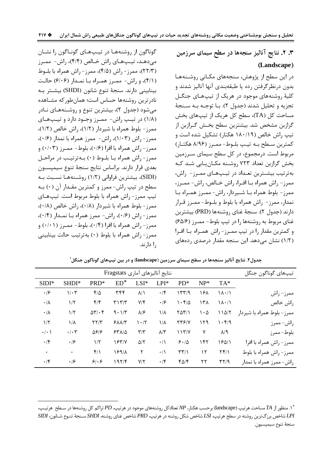**56) + N1 L0: O 3 .2 . (Landscape)**

در این سطح از پژوهش، سنجههای مکـانی روشـنههـا بدون درنظرگرفتن رده یا طبقهبندی آنها آنالیز شدند و کلیهٔ روشنههای موجود در هریک از تیپهـای جنگـل تجزيه و تحليل شدند (جدول ٢). بـا توجـه بـه سـنجهٔ مساحت کل (TA)، سطح کل هریک از تیپهای بخش گرازبن مشخص شد. بیشترین سطح بخـش گـرازبن از تیپ راش خالص (۱۸۰/۱۹ هکتار) تشکیل شده است و كمترين سطح بـه تيـپ بلـوط- ممـرز (۸/۹۶ هكتـار) مربوط است. درمجموع، در کل سطح سیمای سـرزمین بخش گرازبن تعداد ۷۲۳ روشـنه مکـانيـابي شـد کـه بهترتیب بیشـترین تعـداد در تیـپهـای ممـرز- راش، ممرز- راش همراه بـا افـرا، راش خـالص، راش- ممـرز، ممرز - بلوط همراه بـا شـيردار، راش- ممـرز همـراه بـا نمدار، ممرز- راش همراه با بلوط و بلـوط- ممـرز قـرار دارند (جدول ۲). سنجهٔ غنای روشنهها (PRD) بیشترین غنای مربوط به روشنهها را در تیپ بلوط- ممـرز (۶۵/۶) و کمترین مقدار را در تیپ ممـرز- راش همـراه بـا افـرا (١/٢) نشان میدهد. این سنجه مقدار درصدی ردههای

گوناگون از روشنهها در تیپهای گوناگون را نشان میدهد، تیپهای راش خـالص (۴/۴)، راش- ممـرز (٢٢/٣)، ممرز- راش (۴/۵)، ممرز- راش همراه با بلـوط (۴/۱)، و راش- ممرز همراه با نمدار (۶/۰۶) حالت بينابيني دارند. سنجهٔ تنوع شانون (SHDI) بيشـتر بـه نادرترین روشنهها حساس است؛ همانطورکه مشـاهده میشود (جدول ۲)، بیشترین تنوع و روشـنههـای نـادر (١/٨) در تيپ راش- مميرز وجبود دارد و تيپهاي ممرز - بلوط همراه با شیردار (١/٢)، راش خالص (١/٢)،  $(\cdot/8)$  ممرز - راش (۱/۰۳)، راش- ممرز همراه با نمدار (۰/۶)، ممرز - راش همراه با افرا (۰/۶)، بلوط- ممـرز (۰/۰۳) و ممرز- راش همراه بـا بلـوط (٠) بـهترتيـب در مراحـل بعدي قرار دارند. براساس نتايج سنجهٔ تنوع سيمپســون (SIDI)، بيشترين فراواني (١/٢) روشـنههـا نسـبت بـه سطح در تیپ راش- ممرز و کمترین مقـدار آن (٠) بـه تیپ ممرز- راش همراه با بلوط مربوط است. تیپهای ممرز - بلوط همراه با شیردار (۰/۸)، راش خالص (۰/۸)،  $( \cdot \rangle )$ ) ممرز - راش (۰/۶)، راش- ممرز همراه بـا نمـدار ممرز - راش همراه با افرا (۰/۴)، بلوط- ممـرز (۰/۰۱) و ممرز- راش همراه با بلوط (٠) بهترتيب حالت بينابيني ,۱ دا, ند.

 $\overline{a}$ 

| تيپھاي گوناگون جنگل        | نتايج أناليزهاي أماري Fragstats |        |                     |                        |                                 |                        |                                    |                |                 |
|----------------------------|---------------------------------|--------|---------------------|------------------------|---------------------------------|------------------------|------------------------------------|----------------|-----------------|
|                            | TA*                             | $NP^*$ | $PD*$               | $LPI*$                 | $LSI*$                          | $ED^*$                 | PRD <sup>*</sup>                   | SHDI*          | $SIDI*$         |
| ممرز- راش                  | $\lambda \cdot / \lambda$       | ۱۶۸    | 15779               | $\cdot$ /۴             | $\lambda/\lambda$               | ٣۴۴                    | $f/\Delta$                         | $1/\cdot 7$    | $\cdot$ /۶      |
| راش خالص                   | $\lambda \cdot / \lambda$       | ۱۳۸    | 1.5/2               | $\cdot$ /۶             | $Y/\mathfrak{F}$                | $T \setminus T/T$      | $f/\mathfrak{f}$                   | $1/\tau$       | $\cdot/\lambda$ |
| ممرز- بلوط همراه با شیردار | 110/7                           | ۱۰۵    | $Y\Delta Y/\lambda$ | $1/\lambda$            | $\lambda$ /۶                    | 9.1/T                  | $\Delta \Upsilon / \cdot \Upsilon$ | $1/\zeta$      | $\cdot/\lambda$ |
| راش- ممرز                  | $\cdot$ ۴/۹                     | ۱۲۹    | <b>TTS/V</b>        | ١/٨                    | $\mathcal{N} \cdot \mathcal{N}$ | $5\lambda\lambda/\tau$ | $\Upsilon\Upsilon/\Upsilon$        | ١/٨            | $1/\tau$        |
| بلوط- ممرز                 | $\lambda$ /٩                    | ٧      | 117/7               | $\lambda/\tilde{\tau}$ | $\mathbf{r}/\mathbf{r}$         | $54\pi$                | 9/80                               | $\cdot/\cdot7$ | $\cdot/\cdot$ ) |
| ممرز- راش همراه با افرا    | 18011                           | ۱۴۲    | 8.10                | $\cdot/\wedge$         | $\Delta/\Upsilon$               | 18314                  | $1/\tau$                           | $\cdot$ /۶     | $\cdot$ /۴      |
| ممرز- راش همراه با بلوط    | $Yf/\lambda$                    | ۱۲     | $\tau\tau/\gamma$   | $\cdot/\wedge$         | ٢                               | 18911                  | $f/\lambda$                        | $\bullet$      | $\bullet$       |
| راش- ممرز همراه با نمدار   | $\Gamma\gamma\gamma$            | ٢٢     | $f\Delta/f$         | $\cdot$ /۴             | $Y/\Upsilon$                    | ۱۹۲/۴                  | 9.6                                | $\cdot$ /۶     | $\cdot$ /۴      |

جدول۲. نتایج آنالیز سنجهها در سطح سیمای سرزمین (landscape) و در بین تیپهای گوناگون جنگل<sup>۱</sup>

\* ۱. منظور از *TA* مساحت هرتیپ (landscape) برحسب هکتار، WP تعدادکل روشنههای موجود در هرتیپ*، PD ت*راکم کل روشنهها در سـطح هرتیـپ، *SIDI* @?! U@?- ?. *SHDI* 8! 9t ^B! *PRD* C-: 8! 32! ^B! *LSI* C-: WX. 8! 7 -} ^B! *LPI* سنجهٔ تنوع سیمپسیون.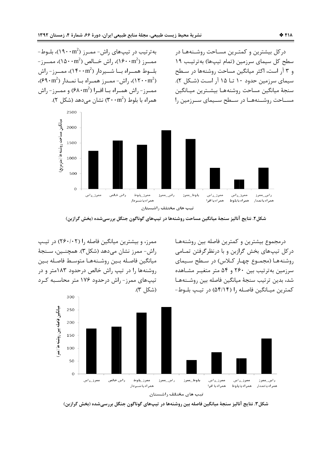به تر تیب در تیپ های راش- ممـرز (۱۹۰۰m2)، بلـوط--ممــرز (۱۶۰۰m²)، راش خــالص (۱۵۰۰m²)، ممــرز بلــوط همــراه بــا شـــیردار (۱۴۰۰m2)، ممــرز- راش (۱۲۰۰m<sup>2</sup>)، راش- ممـرز همـراه بــا نمــدار (۶۹۰m<sup>2</sup>)، ممـرز- راش همـراه بــا افـرا (۶۸۰m<sup>2</sup>) و ممـرز- راش همراه با بلوط (۳۰۰m²) نشان می دهد (شکل ۲).

درکل بیشترین و کمتـرین مسـاحت روشـنههـا در سطح کل سیمای سرزمین (تمام تیپها) بهترتیب ۱۹ و ۳ آر است، اکثر میانگین مساحت روشنهها در سطح سیمای سرزمین حدود ۱۰ تــا ۱۵ آر اسـت (شــکل ۲). سنجة ميانگين مساحت روشنههـا بيشـترين ميـانگين مسـاحت روشــنههــا در ســطح ســیمای ســرزمین را



شکل۲. نتایج آنالیز سنجهٔ میانگین مساحت روشنهها در تیپهای گوناگون جنگل بررسیشده (بخش گرازبن)

ممرز، و بیشترین میانگین فاصله را (۲۶۰/۰۲) در تیپ راش- ممرز نشان میدهد (شکل۳). همچنـین، سـنجهٔ ميانگين فاصله بين روشـنههـا متوسـط فاصـله بـين روشنهها را در تیپ راش خالص درحدود ۱۸۳متر و در تیپهای ممرز- راش درحدود ۱۷۶ متر محاسـبه کـرد (شكل ٣).

درمجموع بیشترین و کمترین فاصله بین روشنههـا درکل تیپهای بخش گرازبن و با درنظرگرفتن تمـامی روشنهها (مجموع چهار کلاس) در سطح سیمای سرزمین به ترتیب بین ۲۶۰ و ۵۴ متر متغیـر مشـاهده شد، بدين ترتيب سنجهٔ ميانگين فاصله بين روشـنههـا كمترين ميـانگين فاصـله ,ا (۵۴/۱۴) در تيـب بلـوط-



شکل ۳. نتایج آنالیز سنجهٔ میانگین فاصله بین روشنهها در تیپهای گوناگون جنگل بررسیشده (بخش گرازبن)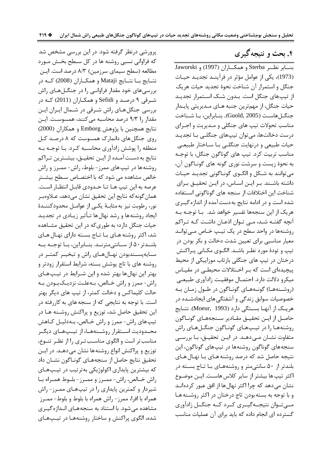# ۴. بحث و نتیجه گیری

بنسابر نظـر Sterba و همكــاران (1997) و Jaworski (1973)، یکی از عوامل مؤثر در فرآینـد تجدیـد حیـات جنگل و استمرار آن شناخت نحوهٔ تجدید حیات هریک از تیپهای جنگل است. بـدون شـک اسـتمرار تجدیـد حيات جنگل، از مهمترين جنبه هـاي مـديريتي پايـدار جنگـلهاسـت (Guold, 2005). بنـابراين، بـا شـناخت مناسب تحولات تیپ های جنگلی و مـدیریت و اجـرای درست دخالتها، می توان تیپهای جنگلـی بـا تجدیـد حیات طبیعی و درنهایت جنگلـی بـا سـاختار طبیعـی مناسب تربیت کرد. تیپ های گوناگون جنگل، با توجـه به نحوهٔ زیست و سرشت نوری گونه های گونـاگون آن، مي توانند به شـكل و الگــوي گونــاگوني تجديــد حيــات داشته باشند. بر این اساس، در این تحقیق برای شناخت این اختلافات از سنجه های گوناگونی استفاده شده است و در ادامه نتایج به دست آمده از اندازه گیـری هریک از این سنجهها تفسیر خواهد شد. بـا توجـه بـه آنچه گفتـه شـد، مـی تـوان اذعـان داشـت کـه تـراکم روشنهها در واحد سطح در یک تیپ خـاص مـی توانـد معیار مناسبی برای تعیین شدت دخالت و بکر بودن در تیپ و تودهٔ مورد نظـر باشـد. الگـوی مکـانی پـراکنش درختان در تیپ های جنگلی بازتاب موزاییکی از محیط پیچیدهای است که بر اختلالات محیطی در مقیاس ميكرو دلالت دارد. احتمـال موفقيـت زادآوري طبيعـي (روشـنههـا) گونـههـای گونـاگون در طـول زمـان بـه خصوصیات سوابق زندگی و آشفتگیهای ایجادشـده در هريــک از آنهــا بســتگي دارد (Moeur, 1993). نتــايج حاصل از ايـن تحقيـق مقـادير سـنجههـاي گونـاگون روشنهها را در تيپهاي گونياگون جنگيلهاي راش متفاوت نشـان مــی دهــد. در ایــن تحقیــق، بـا بررســی سنجههای گوناگون روشنهها در تیپهای گوناگون، این نتیجه حاصل شد که درصد روشنه هـای بـا نهـال هـای بلندتر از ۵۰ سانتی متر و روشنههای با تاج بسته در اکثر تیپ ها بیشتر از سایر کلاس هاست. ایـن موضـوع نشان می دهد که چرا اکثر نهال ها از افق عبور کردهانـد و با توجه به بسته بودن تاج درختان در اکثر روشـنه هـا مے توان نتیجےگیےری کےد کے جنگےل زادآوری گسترده ای انجام داده که باید برای آن عملیات مناسب

پرورشی درنظر گرفته شود. در این بررسی مشخص شد که فراوانی نسبی روشنه ها در کل سطح بخش مورد مطالعه (سطح سیمای سرزمین) ۸/۳ درصد است. ایـن نتــايج بــا نتــايج Mataji و همكــاران (2008) كــه در بررسی های خود مقدار فراوانبی را در جنگــلهــای راش شـرقی ۹ درصـد و Sefidi و همکـاران (2011) کـه در بررسی جنگل هـای راش شـرقی در شـمال ایـران ایـن مقدار , ۱ ۹/۳ درصد محاسبه می کنند، همسوست. ایـن نتايج همچنين با پژوهش Emborg و همكاران (2000) روی جنگل های دانمارک همسوست که ۸ درصد کل منطقه را پوشش زادآوری محاسـبه کـرد. بـا توجـه بـه نتايج به دسـت آمـده از ايـن تحقيـق، بيشـترين تـراكم روشنه ها در تیپ های ممرز - بلوط، راش- ممـرز و راش خالص مشاهده می شود که با اختصـاص سـطح بیشـتر عرصه به اين تيپ هـا تـا حـدودي قابـل انتظـار اسـت. همان گونه که نتایج این تحقیق نشان می دهد، عــلاوهبـر نور، رطوبت نیز به مثابـهٔ یکـی از عوامـل محدودکننـدهٔ ایجاد روشنه ها و رشد نهال ها تـأثیر زیـادی در تجدیـد حیات جنگل دارد؛ به طوریکه در این تحقیق مشـاهده شد، اکثر روشنه هـای بـا تـاج بسـته دارای نهـال هـای بلنـدتر ۵۰ از سـانتى مترنـد. بنـابراين، بـا توجـه بـه سـايەپسـندېودن نهـالهـاي راش و تبخيـر كمتـر در روشنه های با تاج پوشش بسته، شرایط استقرار زودتر و بهتر این نهال ها بهتر شده و این شـرایط در تیـپهـای راش- ممرز و راش خـالص، بـهعلـت نزديـكببودن بـه حالت کلیماکس و دخالت کمتر، از تیپ های دیگر بهتر است. با توجه به نتایجی که از سنجه های به کاررفته در این تحقیق حاصل شد، توزیع و پراکنش روشـنه هـا در تیپهای راش- ممرز و راش خـالص، بـهدلیـل کـاهش محـدوديت اســتقرار روشــنههــا، از تيــپهــاي ديگــر مناسب تر است و الگوی مناسب تری را از نظر تنوع، توزیع و پراکنش انواع روشنهها نشان می دهـد. در ایـن تحقيق نتايج حاصل از سنجههـاي گونـاگون نشـان داد که بیشترین پایداری اکولوژیکی بهترتیب در تیپهای راش خــالص، راش- ممــرز و ممــرز- بلــوط همــراه بــا شیردار و کمترین پایداری را در تیپهـای ممـرز- راش همراه با افرا، ممرز- راش همراه با بلوط و بلوط- ممـرز مشاهده می شود. با استناد به سنجههای انـدازه گیـری شده، الگوی پراکنش و ساختار روشنههـا در تیـپهـای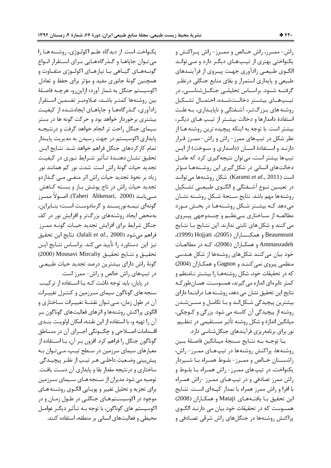يكنواخت است. از ديدگاه علـم اكولـوژى، روشـنه هـا را می تـوان جاپاهـا و گـذرگاههـایی بـرای اسـتقرار انـواع گونــههــاي گيــاهي بــا نيازهــاي اكولــوژي متفــاوت و همچنین گونهٔ جانوری مفید و مؤثر برای حفظ و تعادل اکوسیستم جنگل به شمار آورد؛ ازاینرو، هرچـه فاصـلهٔ بين روشنهها كمتـر باشـد، عـلاوەبـر تضـمين اسـتقرار زادآوری، گـذرگاههـا و جاپاهـای ايجادشـده از كيفيـت بیشتری برخوردار خواهد بود و حرکت گونه ها در بستر سیمای جنگل راحت تر انجام خواهد گرفت و درنتیجـه پایداری اکوسیستم در جهت رسیدن به مدیریت پایـدار تمام كاركردهاي جنگل فراهم خواهد شــد. نتــايج ايــن تحقيق نشـان دهنــدهٔ تـأثير شــرايط نــوري در كيفيـت تجدید حیات گونهٔ راش است. شدت نور کم همانند نور زیاد بر نحوۂ تجدید حیات راش اثر منفـی مـی گـذاردو تجدید حیات راش در تاج پوشش بـاز و بســته کــاهش مــىيابــد (Taheri Abkenari, 2000). اصــولاً ممــرز گونهای نیمـهنورپسـند و گرمادوسـت اسـت؛ بنــابراین، بهمحض ایجاد روشنههای بزرگتر و افزایش نور در کف جنگل شرايط براي افزايش تجديد حيـات گونــه ممـرز فراهم ميشود (Jalali *et al*., 2000). نتايج اين تحقيق نیز این دستاورد را تأیید می کند. براسـاس نتــایج ایــن تحقيــق و نتــايج تحقيــق Mousavi Mircaliy (2000) گونهٔ راش دارای بیشترین درصد تجدید حیات طبیعـی در تیپهای راش خالص و راش- ممرز است.

در پایان، باید توجه داشت کـه بـا اسـتفاده از ترکیـب سنجه های گوناگون سیمای سـرزمین و کنتـرل تغییـرات آن در طول زمان، مـي تـوان نقشـهٔ تغييـرات سـاختاري و الگوی پراکنش روشنهها و اثرهای فعالیتهای گوناگون بـر آن را تهيه و، با استفاده از اين نقشه، امكان اولويت بنــدى اقـــدامات اصـــلاحي و چگـــونگي اجـــراي آن در منـــاطق گوناگون جنگل را فراهم کرد. افزون بـر آن، بـا اســتفاده از معیارهای سیمای سرزمین در سـطح تیـپ، مـیتـوان بـه پیشبینی وضعیت داخلـی هـر تیـپ از نظـر پیچیـدگی ساختاری و درنتیجه مقدار بقا و پایداری آن دسـت یافـت. توصیه می شود مدیران از سـنجه هـای سـیمای سـرزمین برای تجزیه و تحلیل تغییر و پویـایی الگــوی روشــنه هــای موجود در اکوسیسـتمهـای جنگلـی در طـول زمـان و در اکوسیستم های گوناگون، با توجه بــه تـأثیر دیگــر عوامــل محیطی و فعالیتهای انسانی بر منطقه، استفاده کنند.

راش- ممـرز، راش خــالص و ممـرز- راش پــراكنش و یکنواختی بهتری از تیپهای دیگر دارد و مـی توانـد الگــوي طبيعــي زادآوري جهـت پيــروي از فرآينــدهاي طبیعی و پایداری استمرار و بقای منابع جنگلی درنظـر گرفتــه شــود. براســاس تحليلــي جنگــلشناســي، در تيسيهــاي بيشــتر دخالــتشــده، احتمــال تشــكيل روشنه های بـزرگتـر، آشـفتگی و ناپایـداری، بـه علـت استفادهٔ دامدارها و دخالت بیشــتر از تیــپ هــای دیگــر، بیشتر است. با توجه به اینکه پیچیده ترین روشنه هـا از نظر شکل در تیپهای ممرز- راش و راش- ممـرز قـرار دارنـد و اســتفادهٔ انســان (دامــداری و ســوخت) از ایــن تیپها بیشتر است، می توان نتیجه گیری کرد که عامـل دخالتهای انسانی در شکل گیری این روشـنههـا مـؤثر است (Karami *et al*., 2011). شكل روشنهها مىتوانـد در تعيــين نــوع آشــفتگي و الگــوي طبيعــي تشــكيل روشنهها مهم باشد. نتايج سـنجهٔ شـكل روشـنه نشـان میدهد کـه بیشـتر شـکل روشـنههـا در بخـش مـورد مطالعــه از ســاختاري بــينظــم و چنــدوجهي پيــروي می کنند و شکل های ثابتی ندارند. این نتـایج بـا نتـایج ( 1999 ) Hojjati ( 2005 ) ????2 : Beaumount Ammanzadeh و همكـاران (2006)، كـه در مطالعـات خود بیان میکنند شکلهای روشنهها از شکل هندسی منظمی پیروی نمی کننـد و Gagnon و همکـاران (2004) كه در تحقيقات خود، شكل روشنههـا را بيشـتر نـامنظم و كمتر دايرهاي اندازه مي گيرند، همسوسـت. همــانطور كــه نتايج اين تحقيق نشان مي دهد، روشــنه هـا درابتــدا داراي بیشترین پیچیدگی شـکل|نـد و بـا تکامـل و مســنشـدن روشنه از پیچیدگی آن کاسته می شود. بزرگی و کـوچکی، میانگین اندازهٔ و شکل روشنه تأثیر مسـتقیمی در تنظـیم نور برای برنامهریزی فرآیندهای جنگلشناسی دارد.

بــا توجــه بــه نتــايج ســنجهٔ ميــانگين فاصــلهٔ بــين روشنهها، پراکنش روشنهها در تیپهای ممـرز- راش، راشسـتان خـالص و ممـرز- بلـوط همـراه بـا شـيردار يکنواخت، در تيپ هاي ممـرز- راش همـراه بـا بلـوط و راش ممرز تصادفی و در تیپهـای ممـرز -راش همـراه با افرا و راش ممرز همراه با نمدار کپـهای اسـت. نتـايج اين تحقيق بـا يافتـههـاي Mataji و همكـاران (2008) همسوست که در تحقیقات خود بیان می دارنـد الگــوی پراکنش روشنهها در جنگلهای راش شرقی تصـادفی و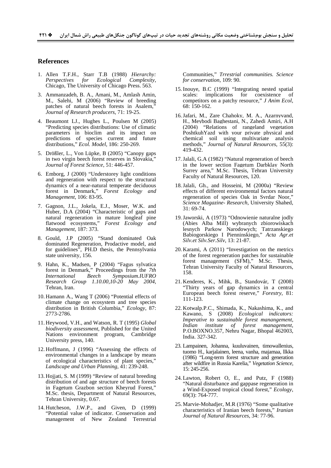#### **References**

- 1. Allen T.F.H., Starr T.B (1988) *Hierarchy: Perspectives for Ecological Complexity*, Chicago, The University of Chicago Press. 563.
- 3. Ammanzadeh, B. A., Amani, M., Amlash Amin, M., Salehi, M (2006) "Review of breeding patches of natural beech forests in Asalem, *Journal of Research producers*, 71: 19-25.
- 4. Beaumont LJ., Hughes L., Poulsen M (2005) "Predicting species distributions: Use of climatic parameters in bioclim and its impact on predictions of species current and future distributions," *Ecol. Model*, 186: 250-269.
- 5. Drößler, L., Von Lüpke, B (2005) "Canopy gaps in two virgin beech forest reserves in Slovakia," *Journal of Forest Science*, 51: 446-457.
- 6. Emborg, J (2000) "Understorey light conditions and regeneration with respect to the structural dynamics of a near-natural temperate deciduous forest in Denmark," *Forest Ecology and Management*, 106: 83-95.
- 7. Gagnon, J.L., Jokela, E.J., Moser, W.K. and Huber, D.A (2004) "Characteristic of gaps and natural regeneration in mature longleaf pine flatwood ecosystems," *Forest Ecology and Management*, 187: 373.
- 8. Gould, J.P (2005) "Stand dominated Oak dominated Regeneration, Prodactive model, and for guidelines", PH.D thesis, the Pennsylvania state university, 156.
- 9. Hahn, K., Madsen, P (2004) "Fagus sylvatica forest in Denmark," Proceedings from the *7th International Beech Symposium.IUFRO Research Group 1.10.00,10-20 May 2004*, Tehran, Iran.
- 10. Hamann A., Wang T (2006) "Potential effects of climate change on ecosystem and tree species distribution in British Columbia," *Ecology*, 87: 2773-2786.
- 11. Heywood, V.H., and Watson, R. T (1995) *Global biodiversity assessment*, Published for the United Nations environment program, Cambridge University press, 140.
- 12. Hoffmann, J (1996) "Assessing the effects of environmental changes in a landscape by means of ecological characteristics of plant species," *Landscape and Urban Planning*, 41: 239-248.
- 13. Hojjati, S. M (1999) "Review of natural breeding distribution of and age structure of beech forests in Fagetum Grazbon section Kheyrud Forest," M.Sc. thesis, Department of Natural Resources, Tehran University, 0.67.
- 14. Hutcheson, J.W.P., and Given, D (1999) "Potential value of indicator. Conservation and management of New Zealand Terrestrial

Communities," *Trrestrial communities. Science for conservation*, 109: 90.

- 15.Inouye, B.C (1999) "Integrating nested spatial scales: implications for coexistence of competitors on a patchy resource," *J Anim Ecol*, 68: 150-162.
- 16.Jafari, M., Zare Chahoky, M. A., Azarnyvand, H., Meybodi Baghestani, N., Zahedi Amiri, A.H (2004) "Relations of rangeland vegetation PoshtkuhYazd with your private physical and chemical soil using multivariate analysis methods," *Journal of Natural Resources*, 55(3): 419-432.
- 17.Jalali, G.A (1982) "Natural regeneration of beech in the lower section Fagetum Darbklay North Surrey area," M.Sc. Thesis, Tehran University Faculty of Natural Resources, 120.
- 18.Jalali, Gh., and Hosseini, M (2000a) "Review effects of different environmental factors natural regeneration of species Oak in Svrdar Noor," *Science Magazine- Research*, University Shahed, 31: 69-74.
- 19.Jaworski, A (1973) "Odnowienie naturalne jodly (Abies Alba Mill) wybranych zbiorowiskach lesnych Parkow Narodowych; Tatrzanskiego Babiogorskiego I Pienninskiego," *Acta Agr.et Silv.et Silv.Ser.Silv*, 13: 21-87.
- 20. Karami, A (2011) "Investigation on the metrics of the forest regeneration patches for sustainable forest management (SFM)," M.Sc. Thesis, Tehran University Faculty of Natural Resources, 158.
- 21. Kenderes, K., Mihk, B., Standovár, T (2008) "Thirty years of gap dynamics in a central European beech forest reserve," *Forestry*, 81: 111-123.
- 22. Kotwalp.P.C., Shimada, K., Nakashima, K., and Kawano, S (2008) *Ecological indicators: Imperative to sustainable forest manangement, Indian institute of forest management*, P.O.BOXNO.357, Nehru Nagar, Bhopal 462003, India. 327-342.
- 23. Lampainen, Johanna, kuuluvainen, timowallenius, tuomo H., karjalainen, leena, vanha, majamaa, llkka (1986) "Long-term forest structure and generation after wildfire in Russia Karelia," *Vegetation Science*, 15: 245-256.
- 24. Lawton, Robert O, E., and Putz, F (1988) "Natural disturbance and gappase regeneration in a Wind-Exposed tropical cloud forest," *Ecology*, 69(3): 764-777.
- 25. Marvie-Mohadjer, M.R (1976) "Some qualitative characteristics of Iranian beech forests," *Iranian Journal of Natural Resources*, 34: 77-96.